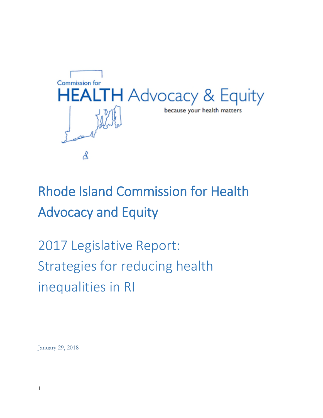

# Rhode Island Commission for Health Advocacy and Equity

2017 Legislative Report: Strategies for reducing health inequalities in RI

January 29, 2018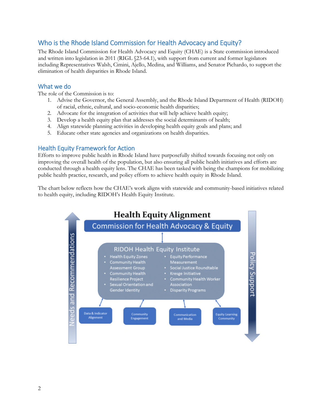# Who is the Rhode Island Commission for Health Advocacy and Equity?

The Rhode Island Commission for Health Advocacy and Equity (CHAE) is a State commission introduced and written into legislation in 2011 (RIGL §23-64.1), with support from current and former legislators including Representatives Walsh, Cimini, Ajello, Medina, and Williams, and Senator Pichardo, to support the elimination of health disparities in Rhode Island.

## What we do

The role of the Commission is to:

- 1. Advise the Governor, the General Assembly, and the Rhode Island Department of Health (RIDOH) of racial, ethnic, cultural, and socio-economic health disparities;
- 2. Advocate for the integration of activities that will help achieve health equity;
- 3. Develop a health equity plan that addresses the social determinants of health;
- 4. Align statewide planning activities in developing health equity goals and plans; and
- 5. Educate other state agencies and organizations on health disparities.

## Health Equity Framework for Action

Efforts to improve public health in Rhode Island have purposefully shifted towards focusing not only on improving the overall health of the population, but also ensuring all public health initiatives and efforts are conducted through a health equity lens. The CHAE has been tasked with being the champions for mobilizing public health practice, research, and policy efforts to achieve health equity in Rhode Island.

The chart below reflects how the CHAE's work aligns with statewide and community-based initiatives related to health equity, including RIDOH's Health Equity Institute.

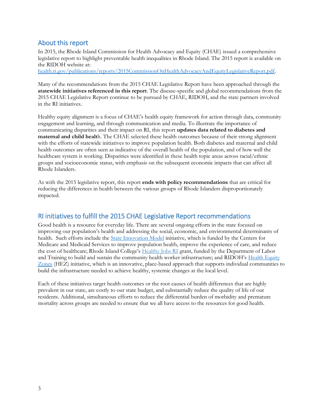# About this report

In 2015, the Rhode Island Commission for Health Advocacy and Equity (CHAE) issued a comprehensive legislative report to highlight preventable health inequalities in Rhode Island. The 2015 report is available on the RIDOH website at:

health.ri.gov/publications/reports/2015CommissionOnHealthAdvocacyAndEquityLegislativeReport.pdf.

Many of the recommendations from the 2015 CHAE Legislative Report have been approached through the **statewide initiatives referenced in this report**. The disease-specific and global recommendations from the 2015 CHAE Legislative Report continue to be pursued by CHAE, RIDOH, and the state partners involved in the RI initiatives.

Healthy equity alignment is a focus of CHAE's health equity framework for action through data, community engagement and learning, and through communication and media. To illustrate the importance of communicating disparities and their impact on RI, this report **updates data related to diabetes and maternal and child healt**h. The CHAE selected these health outcomes because of their strong alignment with the efforts of statewide initiatives to improve population health. Both diabetes and maternal and child health outcomes are often seen as indicative of the overall health of the population, and of how well the healthcare system is working. Disparities were identified in these health topic areas across racial/ethnic groups and socioeconomic status, with emphasis on the subsequent economic impacts that can affect all Rhode Islanders.

As with the 2015 legislative report, this report **ends with policy recommendations** that are critical for reducing the differences in health between the various groups of Rhode Islanders disproportionately impacted.

# RI initiatives to fulfill the 2015 CHAE Legislative Report recommendations

Good health is a resource for everyday life. There are several ongoing efforts in the state focused on improving our population's health and addressing the social, economic, and environmental determinants of health. Such efforts include the State Innovation Model initiative, which is funded by the Centers for Medicare and Medicaid Services to improve population health, improve the experience of care, and reduce the cost of healthcare; Rhode Island College's Healthy Jobs RI grant, funded by the Department of Labor and Training to build and sustain the community health worker infrastructure; and RIDOH's Health Equity Zones (HEZ) initiative, which is an innovative, place-based approach that supports individual communities to build the infrastructure needed to achieve healthy, systemic changes at the local level.

Each of these initiatives target health outcomes or the root causes of health differences that are highly prevalent in our state, are costly to our state budget, and substantially reduce the quality of life of our residents. Additional, simultaneous efforts to reduce the differential burden of morbidity and premature mortality across groups are needed to ensure that we all have access to the resources for good health.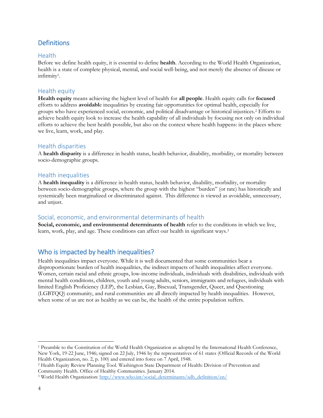# **Definitions**

#### **Health**

Before we define health equity, it is essential to define **health**. According to the World Health Organization, health is a state of complete physical, mental, and social well-being, and not merely the absence of disease or infirmity<sup>1</sup> .

## Health equity

**Health equity** means achieving the highest level of health for **all people**. Health equity calls for **focused** efforts to address **avoidabl**e inequalities by creating fair opportunities for optimal health, especially for groups who have experienced social, economic, and political disadvantage or historical injustices.<sup>2</sup> Efforts to achieve health equity look to increase the health capability of all individuals by focusing not only on individual efforts to achieve the best health possible, but also on the context where health happens: in the places where we live, learn, work, and play.

## Health disparities

A **health disparity** is a difference in health status, health behavior, disability, morbidity, or mortality between socio-demographic groups.

## Health inequalities

A **health inequality** is a difference in health status, health behavior, disability, morbidity, or mortality between socio-demographic groups, where the group with the highest "burden" (or rate) has historically and systemically been marginalized or discriminated against. This difference is viewed as avoidable, unnecessary, and unjust.

# Social, economic, and environmental determinants of health

**Social, economic, and environmental determinants of health** refer to the conditions in which we live, learn, work, play, and age. These conditions can affect our health in significant ways.<sup>3</sup>

# Who is impacted by health inequalities?

Health inequalities impact everyone. While it is well documented that some communities bear a disproportionate burden of health inequalities, the indirect impacts of health inequalities affect everyone. Women, certain racial and ethnic groups, low-income individuals, individuals with disabilities, individuals with mental health conditions, children, youth and young adults, seniors, immigrants and refugees, individuals with limited English Proficiency (LEP), the Lesbian, Gay, Bisexual, Transgender, Queer, and Questioning (LGBTQQ) community, and rural communities are all directly impacted by health inequalities. However, when some of us are not as healthy as we can be, the health of the entire population suffers.

<sup>1</sup> Preamble to the Constitution of the World Health Organization as adopted by the International Health Conference, New York, 19-22 June, 1946; signed on 22 July, 1946 by the representatives of 61 states (Official Records of the World Health Organization, no. 2, p. 100) and entered into force on 7 April, 1948.

<sup>2</sup> Health Equity Review Planning Tool. Washington State Department of Health: Division of Prevention and Community Health. Office of Healthy Communities. January 2014.

<sup>&</sup>lt;sup>3</sup> World Health Organization: http://www.who.int/social\_determinants/sdh\_definition/en/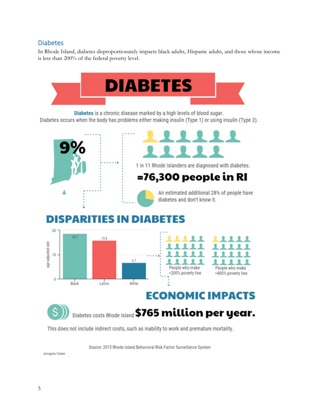# Diabetes

In Rhode Island, diabetes disproportionately impacts black adults, Hispanic adults, and those whose income is less than 200% of the federal poverty level.



Source: 2015 Rhode Island Behavioral Risk Factor Surveillance System

Annajane Yolken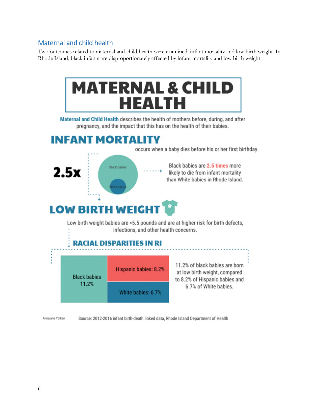# Maternal and child health

Two outcomes related to maternal and child health were examined: infant mortality and low birth weight. In Rhode Island, black infants are disproportionately affected by infant mortality and low birth weight.



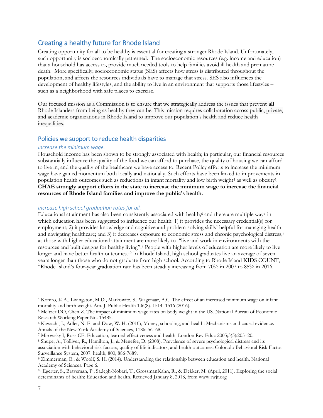# Creating a healthy future for Rhode Island

Creating opportunity for all to be healthy is essential for creating a stronger Rhode Island. Unfortunately, such opportunity is socioeconomically patterned. The socioeconomic resources (e.g. income and education) that a household has access to, provide much needed tools to help families avoid ill health and premature death. More specifically, socioeconomic status (SES) affects how stress is distributed throughout the population, and affects the resources individuals have to manage that stress. SES also influences the development of healthy lifestyles, and the ability to live in an environment that supports those lifestyles – such as a neighborhood with safe places to exercise.

Our focused mission as a Commission is to ensure that we strategically address the issues that prevent **all** Rhode Islanders from being as healthy they can be. This mission requires collaboration across public, private, and academic organizations in Rhode Island to improve our population's health and reduce health inequalities.

#### Policies we support to reduce health disparities

#### *Increase the minimum wage.*

Household income has been shown to be strongly associated with health; in particular, our financial resources substantially influence the quality of the food we can afford to purchase, the quality of housing we can afford to live in, and the quality of the healthcare we have access to. Recent Policy efforts to increase the minimum wage have gained momentum both locally and nationally. Such efforts have been linked to improvements in population health outcomes such as reductions in infant mortality and low birth weight<sup>4</sup> as well as obesity<sup>5</sup>. **CHAE strongly support efforts in the state to increase the minimum wage to increase the financial resources of Rhode Island families and improve the public's health.**

#### *Increase high school graduation rates for all.*

Educational attainment has also been consistently associated with health;<sup>6</sup> and there are multiple ways in which education has been suggested to influence our health: 1) it provides the necessary credential(s) for employment; 2) it provides knowledge and cognitive and problem-solving skills<sup>7</sup> helpful for managing health and navigating healthcare; and 3) it decreases exposure to economic stress and chronic psychological distress,<sup>8</sup> as those with higher educational attainment are more likely to "live and work in environments with the resources and built designs for healthy living".<sup>9</sup> People with higher levels of education are more likely to live longer and have better health outcomes.<sup>10</sup> In Rhode Island, high school graduates live an average of seven years longer than those who do not graduate from high school. According to Rhode Island KIDS COUNT, "Rhode Island's four-year graduation rate has been steadily increasing from 70% in 2007 to 85% in 2016.

<sup>4</sup> Komro, K.A., Livingston, M.D., Markowitz, S., Wagenaar, A.C. The effect of an increased minimum wage on infant mortality and birth weight. Am. J. Public Health 106(8), 1514–1516 (2016).

<sup>5</sup> Meltzer DO, Chen Z. The impact of minimum wage rates on body weight in the US. National Bureau of Economic Research Working Paper No. 15485.

<sup>6</sup> Kawachi, I., Adler, N. E. and Dow, W. H. (2010), Money, schooling, and health: Mechanisms and causal evidence. Annals of the New York Academy of Sciences, 1186: 56–68.

<sup>7</sup> Mirowsky J, Ross CE. Education, learned effectiveness and health. London Rev Educ 2005;3(3):205–20.

<sup>8</sup> Shupe, A., Tolliver, R., Hamilton, J., & Menefee, D. (2008). Prevalence of severe psychological distress and its association with behavioral risk factors, quality of life indicators, and health outcomes: Colorado Behavioral Risk Factor Surveillance System, 2007. health, 800, 886-7689.

<sup>9</sup> Zimmerman, E., & Woolf, S. H. (2014). Understanding the relationship between education and health. National Academy of Sciences. Page 6.

<sup>10</sup> Egerter, S., Braveman, P., Sadegh-Nobari, T., GrossmanKahn, R., & Dekker, M. (April, 2011). Exploring the social determinants of health: Education and health. Retrieved January 8, 2018, from www.rwjf.org